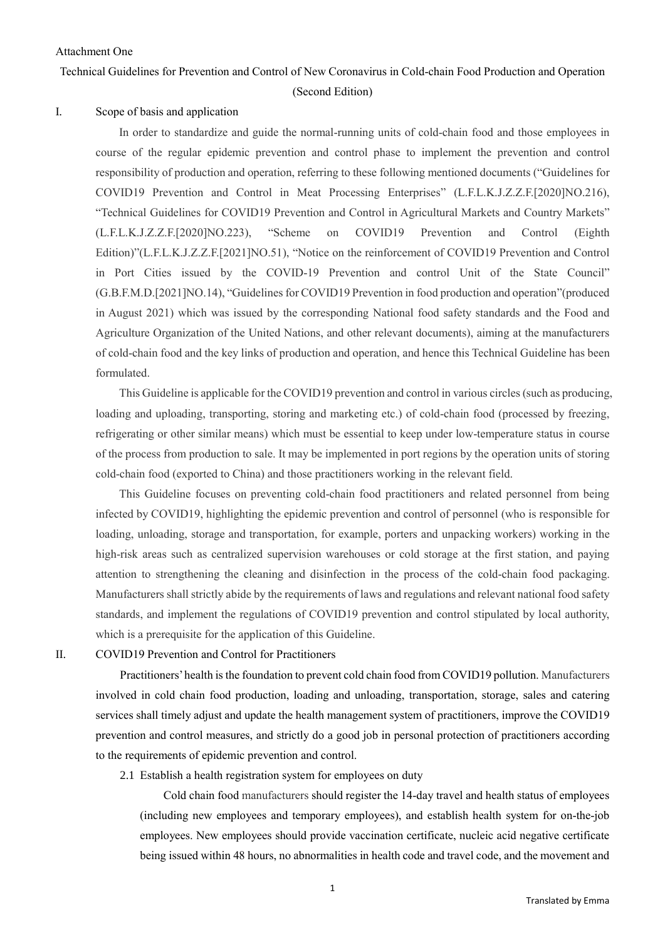# Attachment One

# Technical Guidelines for Prevention and Control of New Coronavirus in Cold-chain Food Production and Operation (Second Edition)

# I. Scope of basis and application

In order to standardize and guide the normal-running units of cold-chain food and those employees in course of the regular epidemic prevention and control phase to implement the prevention and control responsibility of production and operation, referring to these following mentioned documents ("Guidelines for COVID19 Prevention and Control in Meat Processing Enterprises" (L.F.L.K.J.Z.Z.F.[2020]NO.216), "Technical Guidelines for COVID19 Prevention and Control in Agricultural Markets and Country Markets" (L.F.L.K.J.Z.Z.F.[2020]NO.223), "Scheme on COVID19 Prevention and Control (Eighth Edition)"(L.F.L.K.J.Z.Z.F.[2021]NO.51), "Notice on the reinforcement of COVID19 Prevention and Control in Port Cities issued by the COVID-19 Prevention and control Unit of the State Council" (G.B.F.M.D.[2021]NO.14), "Guidelines for COVID19 Prevention in food production and operation"(produced in August 2021) which was issued by the corresponding National food safety standards and the Food and Agriculture Organization of the United Nations, and other relevant documents), aiming at the manufacturers of cold-chain food and the key links of production and operation, and hence this Technical Guideline has been formulated.

This Guideline is applicable for the COVID19 prevention and control in various circles (such as producing, loading and uploading, transporting, storing and marketing etc.) of cold-chain food (processed by freezing, refrigerating or other similar means) which must be essential to keep under low-temperature status in course of the process from production to sale. It may be implemented in port regions by the operation units of storing cold-chain food (exported to China) and those practitioners working in the relevant field.

This Guideline focuses on preventing cold-chain food practitioners and related personnel from being infected by COVID19, highlighting the epidemic prevention and control of personnel (who is responsible for loading, unloading, storage and transportation, for example, porters and unpacking workers) working in the high-risk areas such as centralized supervision warehouses or cold storage at the first station, and paying attention to strengthening the cleaning and disinfection in the process of the cold-chain food packaging. Manufacturers shall strictly abide by the requirements of laws and regulations and relevant national food safety standards, and implement the regulations of COVID19 prevention and control stipulated by local authority, which is a prerequisite for the application of this Guideline.

# II. COVID19 Prevention and Control for Practitioners

Practitioners' health is the foundation to prevent cold chain food from COVID19 pollution. Manufacturers involved in cold chain food production, loading and unloading, transportation, storage, sales and catering services shall timely adjust and update the health management system of practitioners, improve the COVID19 prevention and control measures, and strictly do a good job in personal protection of practitioners according to the requirements of epidemic prevention and control.

2.1 Establish a health registration system for employees on duty

 Cold chain food manufacturers should register the 14-day travel and health status of employees (including new employees and temporary employees), and establish health system for on-the-job employees. New employees should provide vaccination certificate, nucleic acid negative certificate being issued within 48 hours, no abnormalities in health code and travel code, and the movement and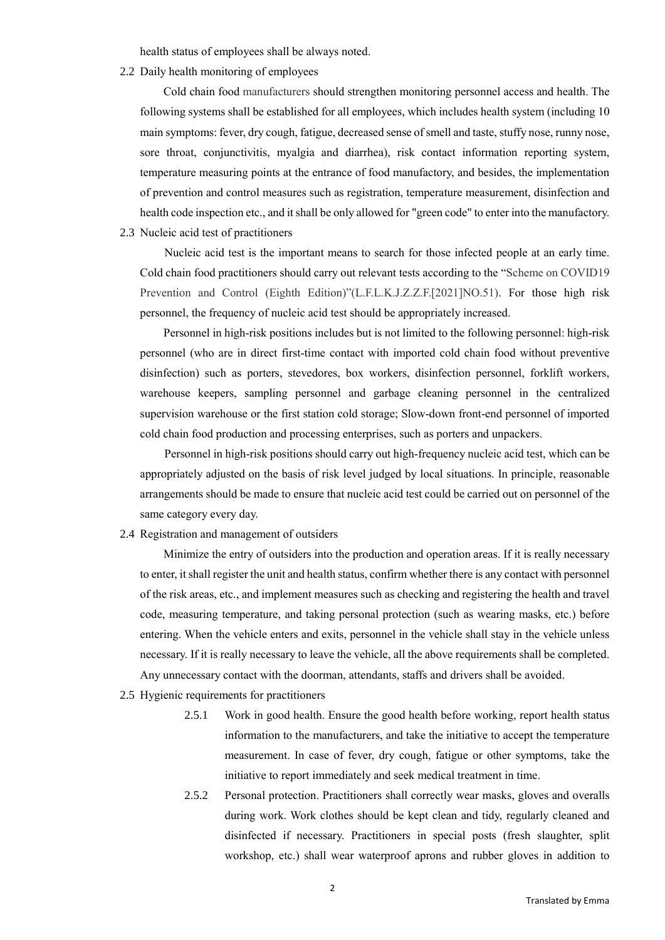health status of employees shall be always noted.

2.2 Daily health monitoring of employees

 Cold chain food manufacturers should strengthen monitoring personnel access and health. The following systems shall be established for all employees, which includes health system (including 10 main symptoms: fever, dry cough, fatigue, decreased sense of smell and taste, stuffy nose, runny nose, sore throat, conjunctivitis, myalgia and diarrhea), risk contact information reporting system, temperature measuring points at the entrance of food manufactory, and besides, the implementation of prevention and control measures such as registration, temperature measurement, disinfection and health code inspection etc., and it shall be only allowed for "green code" to enter into the manufactory.

2.3 Nucleic acid test of practitioners

Nucleic acid test is the important means to search for those infected people at an early time. Cold chain food practitioners should carry out relevant tests according to the "Scheme on COVID19 Prevention and Control (Eighth Edition)"(L.F.L.K.J.Z.Z.F.[2021]NO.51). For those high risk personnel, the frequency of nucleic acid test should be appropriately increased.

Personnel in high-risk positions includes but is not limited to the following personnel: high-risk personnel (who are in direct first-time contact with imported cold chain food without preventive disinfection) such as porters, stevedores, box workers, disinfection personnel, forklift workers, warehouse keepers, sampling personnel and garbage cleaning personnel in the centralized supervision warehouse or the first station cold storage; Slow-down front-end personnel of imported cold chain food production and processing enterprises, such as porters and unpackers.

Personnel in high-risk positions should carry out high-frequency nucleic acid test, which can be appropriately adjusted on the basis of risk level judged by local situations. In principle, reasonable arrangements should be made to ensure that nucleic acid test could be carried out on personnel of the same category every day.

2.4 Registration and management of outsiders

 Minimize the entry of outsiders into the production and operation areas. If it is really necessary to enter, it shall register the unit and health status, confirm whether there is any contact with personnel of the risk areas, etc., and implement measures such as checking and registering the health and travel code, measuring temperature, and taking personal protection (such as wearing masks, etc.) before entering. When the vehicle enters and exits, personnel in the vehicle shall stay in the vehicle unless necessary. If it is really necessary to leave the vehicle, all the above requirements shall be completed. Any unnecessary contact with the doorman, attendants, staffs and drivers shall be avoided.

- 2.5 Hygienic requirements for practitioners
	- 2.5.1 Work in good health. Ensure the good health before working, report health status information to the manufacturers, and take the initiative to accept the temperature measurement. In case of fever, dry cough, fatigue or other symptoms, take the initiative to report immediately and seek medical treatment in time.
	- 2.5.2 Personal protection. Practitioners shall correctly wear masks, gloves and overalls during work. Work clothes should be kept clean and tidy, regularly cleaned and disinfected if necessary. Practitioners in special posts (fresh slaughter, split workshop, etc.) shall wear waterproof aprons and rubber gloves in addition to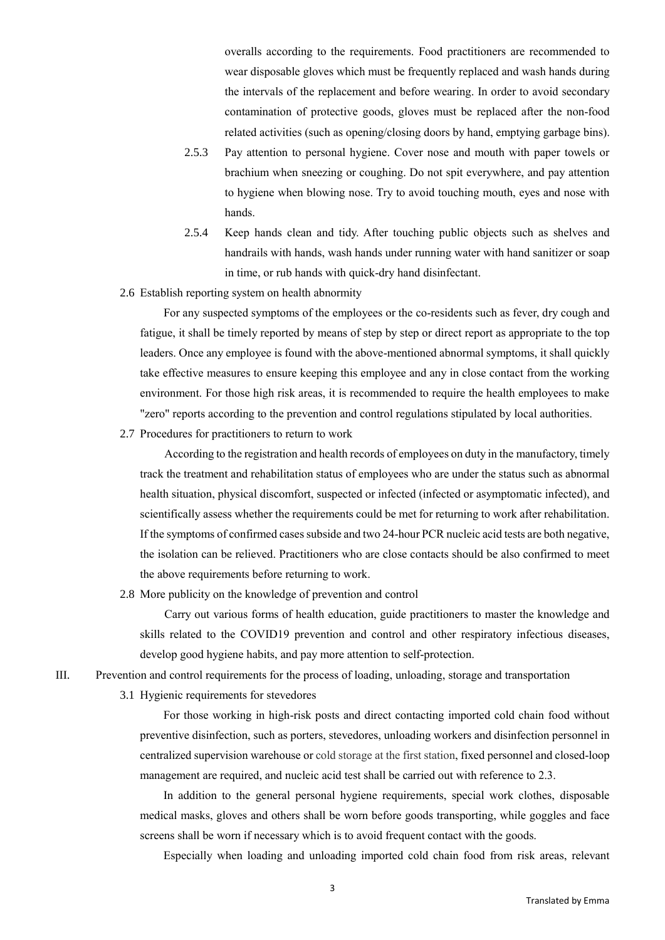overalls according to the requirements. Food practitioners are recommended to wear disposable gloves which must be frequently replaced and wash hands during the intervals of the replacement and before wearing. In order to avoid secondary contamination of protective goods, gloves must be replaced after the non-food related activities (such as opening/closing doors by hand, emptying garbage bins).

- 2.5.3 Pay attention to personal hygiene. Cover nose and mouth with paper towels or brachium when sneezing or coughing. Do not spit everywhere, and pay attention to hygiene when blowing nose. Try to avoid touching mouth, eyes and nose with hands.
- 2.5.4 Keep hands clean and tidy. After touching public objects such as shelves and handrails with hands, wash hands under running water with hand sanitizer or soap in time, or rub hands with quick-dry hand disinfectant.
- 2.6 Establish reporting system on health abnormity

 For any suspected symptoms of the employees or the co-residents such as fever, dry cough and fatigue, it shall be timely reported by means of step by step or direct report as appropriate to the top leaders. Once any employee is found with the above-mentioned abnormal symptoms, it shall quickly take effective measures to ensure keeping this employee and any in close contact from the working environment. For those high risk areas, it is recommended to require the health employees to make "zero" reports according to the prevention and control regulations stipulated by local authorities.

2.7 Procedures for practitioners to return to work

According to the registration and health records of employees on duty in the manufactory, timely track the treatment and rehabilitation status of employees who are under the status such as abnormal health situation, physical discomfort, suspected or infected (infected or asymptomatic infected), and scientifically assess whether the requirements could be met for returning to work after rehabilitation. If the symptoms of confirmed cases subside and two 24-hour PCR nucleic acid tests are both negative, the isolation can be relieved. Practitioners who are close contacts should be also confirmed to meet the above requirements before returning to work.

2.8 More publicity on the knowledge of prevention and control

Carry out various forms of health education, guide practitioners to master the knowledge and skills related to the COVID19 prevention and control and other respiratory infectious diseases, develop good hygiene habits, and pay more attention to self-protection.

- III. Prevention and control requirements for the process of loading, unloading, storage and transportation
	- 3.1 Hygienic requirements for stevedores

For those working in high-risk posts and direct contacting imported cold chain food without preventive disinfection, such as porters, stevedores, unloading workers and disinfection personnel in centralized supervision warehouse or cold storage at the first station, fixed personnel and closed-loop management are required, and nucleic acid test shall be carried out with reference to 2.3.

In addition to the general personal hygiene requirements, special work clothes, disposable medical masks, gloves and others shall be worn before goods transporting, while goggles and face screens shall be worn if necessary which is to avoid frequent contact with the goods.

Especially when loading and unloading imported cold chain food from risk areas, relevant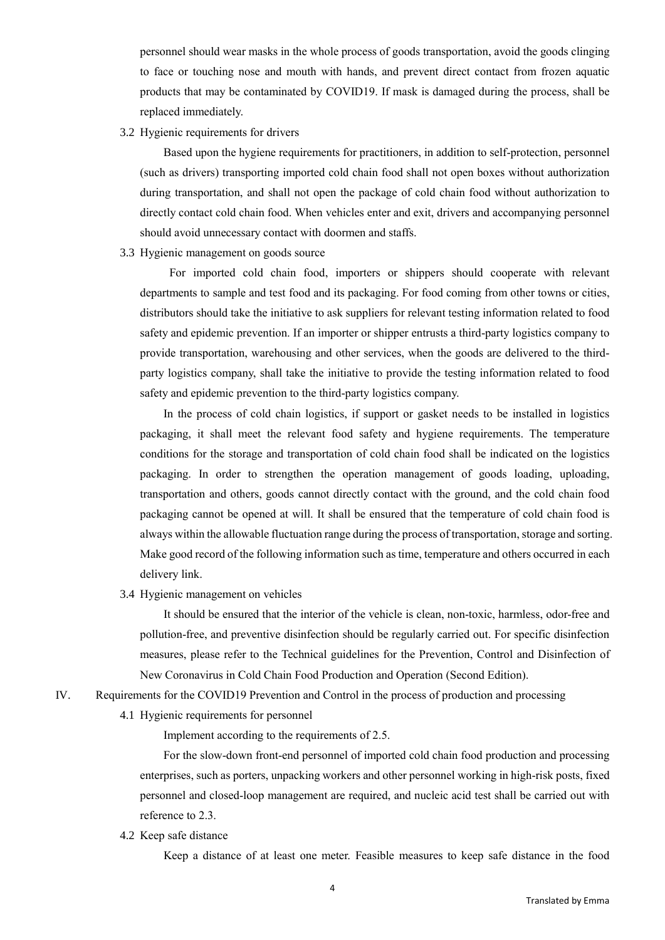personnel should wear masks in the whole process of goods transportation, avoid the goods clinging to face or touching nose and mouth with hands, and prevent direct contact from frozen aquatic products that may be contaminated by COVID19. If mask is damaged during the process, shall be replaced immediately.

# 3.2 Hygienic requirements for drivers

 Based upon the hygiene requirements for practitioners, in addition to self-protection, personnel (such as drivers) transporting imported cold chain food shall not open boxes without authorization during transportation, and shall not open the package of cold chain food without authorization to directly contact cold chain food. When vehicles enter and exit, drivers and accompanying personnel should avoid unnecessary contact with doormen and staffs.

#### 3.3 Hygienic management on goods source

For imported cold chain food, importers or shippers should cooperate with relevant departments to sample and test food and its packaging. For food coming from other towns or cities, distributors should take the initiative to ask suppliers for relevant testing information related to food safety and epidemic prevention. If an importer or shipper entrusts a third-party logistics company to provide transportation, warehousing and other services, when the goods are delivered to the thirdparty logistics company, shall take the initiative to provide the testing information related to food safety and epidemic prevention to the third-party logistics company.

In the process of cold chain logistics, if support or gasket needs to be installed in logistics packaging, it shall meet the relevant food safety and hygiene requirements. The temperature conditions for the storage and transportation of cold chain food shall be indicated on the logistics packaging. In order to strengthen the operation management of goods loading, uploading, transportation and others, goods cannot directly contact with the ground, and the cold chain food packaging cannot be opened at will. It shall be ensured that the temperature of cold chain food is always within the allowable fluctuation range during the process of transportation, storage and sorting. Make good record of the following information such as time, temperature and others occurred in each delivery link.

### 3.4 Hygienic management on vehicles

 It should be ensured that the interior of the vehicle is clean, non-toxic, harmless, odor-free and pollution-free, and preventive disinfection should be regularly carried out. For specific disinfection measures, please refer to the Technical guidelines for the Prevention, Control and Disinfection of New Coronavirus in Cold Chain Food Production and Operation (Second Edition).

- IV. Requirements for the COVID19 Prevention and Control in the process of production and processing
	- 4.1 Hygienic requirements for personnel

Implement according to the requirements of 2.5.

For the slow-down front-end personnel of imported cold chain food production and processing enterprises, such as porters, unpacking workers and other personnel working in high-risk posts, fixed personnel and closed-loop management are required, and nucleic acid test shall be carried out with reference to 2.3.

4.2 Keep safe distance

Keep a distance of at least one meter. Feasible measures to keep safe distance in the food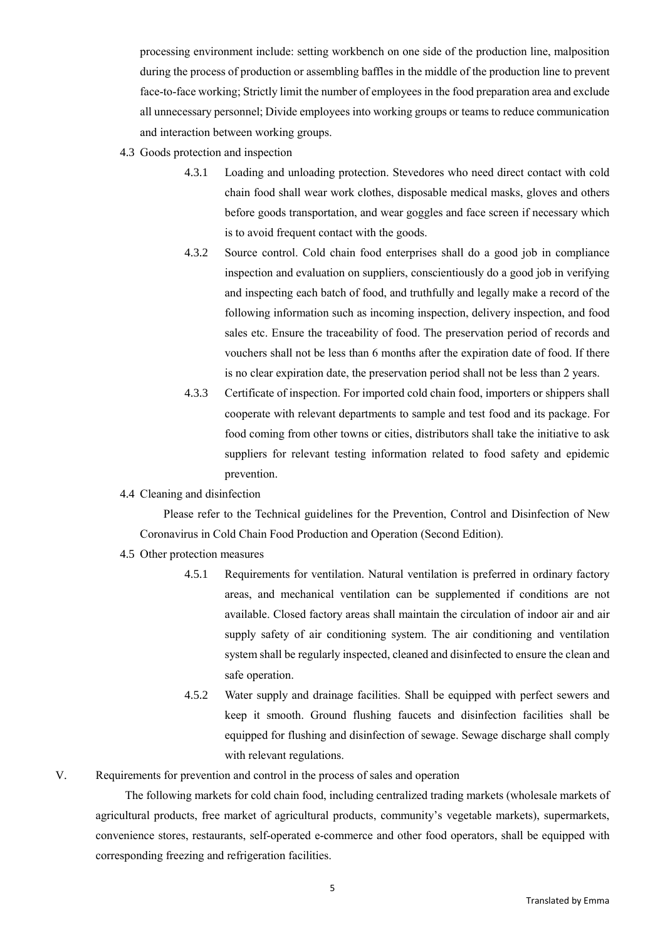processing environment include: setting workbench on one side of the production line, malposition during the process of production or assembling baffles in the middle of the production line to prevent face-to-face working; Strictly limit the number of employees in the food preparation area and exclude all unnecessary personnel; Divide employees into working groups or teams to reduce communication and interaction between working groups.

- 4.3 Goods protection and inspection
	- 4.3.1 Loading and unloading protection. Stevedores who need direct contact with cold chain food shall wear work clothes, disposable medical masks, gloves and others before goods transportation, and wear goggles and face screen if necessary which is to avoid frequent contact with the goods.
	- 4.3.2 Source control. Cold chain food enterprises shall do a good job in compliance inspection and evaluation on suppliers, conscientiously do a good job in verifying and inspecting each batch of food, and truthfully and legally make a record of the following information such as incoming inspection, delivery inspection, and food sales etc. Ensure the traceability of food. The preservation period of records and vouchers shall not be less than 6 months after the expiration date of food. If there is no clear expiration date, the preservation period shall not be less than 2 years.
	- 4.3.3 Certificate of inspection. For imported cold chain food, importers or shippers shall cooperate with relevant departments to sample and test food and its package. For food coming from other towns or cities, distributors shall take the initiative to ask suppliers for relevant testing information related to food safety and epidemic prevention.
- 4.4 Cleaning and disinfection

 Please refer to the Technical guidelines for the Prevention, Control and Disinfection of New Coronavirus in Cold Chain Food Production and Operation (Second Edition).

- 4.5 Other protection measures
	- 4.5.1 Requirements for ventilation. Natural ventilation is preferred in ordinary factory areas, and mechanical ventilation can be supplemented if conditions are not available. Closed factory areas shall maintain the circulation of indoor air and air supply safety of air conditioning system. The air conditioning and ventilation system shall be regularly inspected, cleaned and disinfected to ensure the clean and safe operation.
	- 4.5.2 Water supply and drainage facilities. Shall be equipped with perfect sewers and keep it smooth. Ground flushing faucets and disinfection facilities shall be equipped for flushing and disinfection of sewage. Sewage discharge shall comply with relevant regulations.
- V. Requirements for prevention and control in the process of sales and operation

The following markets for cold chain food, including centralized trading markets (wholesale markets of agricultural products, free market of agricultural products, community's vegetable markets), supermarkets, convenience stores, restaurants, self-operated e-commerce and other food operators, shall be equipped with corresponding freezing and refrigeration facilities.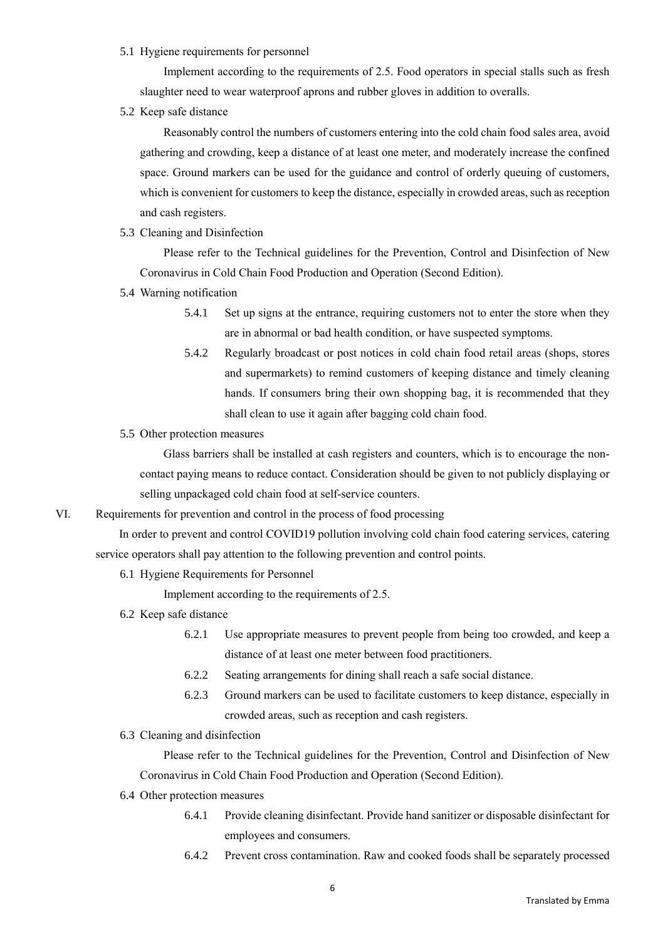### 5.1 Hygiene requirements for personnel

 Implement according to the requirements of 2.5. Food operators in special stalls such as fresh slaughter need to wear waterproof aprons and rubber gloves in addition to overalls.

5.2 Keep safe distance

Reasonably control the numbers of customers entering into the cold chain food sales area, avoid gathering and crowding, keep a distance of at least one meter, and moderately increase the confined space. Ground markers can be used for the guidance and control of orderly queuing of customers, which is convenient for customers to keep the distance, especially in crowded areas, such as reception and cash registers.

5.3 Cleaning and Disinfection

 Please refer to the Technical guidelines for the Prevention, Control and Disinfection of New Coronavirus in Cold Chain Food Production and Operation (Second Edition).

- 5.4 Warning notification
	- 5.4.1 Set up signs at the entrance, requiring customers not to enter the store when they are in abnormal or bad health condition, or have suspected symptoms.
	- 5.4.2 Regularly broadcast or post notices in cold chain food retail areas (shops, stores and supermarkets) to remind customers of keeping distance and timely cleaning hands. If consumers bring their own shopping bag, it is recommended that they shall clean to use it again after bagging cold chain food.
- 5.5 Other protection measures

 Glass barriers shall be installed at cash registers and counters, which is to encourage the noncontact paying means to reduce contact. Consideration should be given to not publicly displaying or selling unpackaged cold chain food at self-service counters.

VI. Requirements for prevention and control in the process of food processing

In order to prevent and control COVID19 pollution involving cold chain food catering services, catering service operators shall pay attention to the following prevention and control points.

6.1 Hygiene Requirements for Personnel

Implement according to the requirements of 2.5.

- 6.2 Keep safe distance
	- 6.2.1 Use appropriate measures to prevent people from being too crowded, and keep a distance of at least one meter between food practitioners.
	- 6.2.2 Seating arrangements for dining shall reach a safe social distance.
	- 6.2.3 Ground markers can be used to facilitate customers to keep distance, especially in crowded areas, such as reception and cash registers.
- 6.3 Cleaning and disinfection

 Please refer to the Technical guidelines for the Prevention, Control and Disinfection of New Coronavirus in Cold Chain Food Production and Operation (Second Edition).

- 6.4 Other protection measures
	- 6.4.1 Provide cleaning disinfectant. Provide hand sanitizer or disposable disinfectant for employees and consumers.
	- 6.4.2 Prevent cross contamination. Raw and cooked foods shall be separately processed